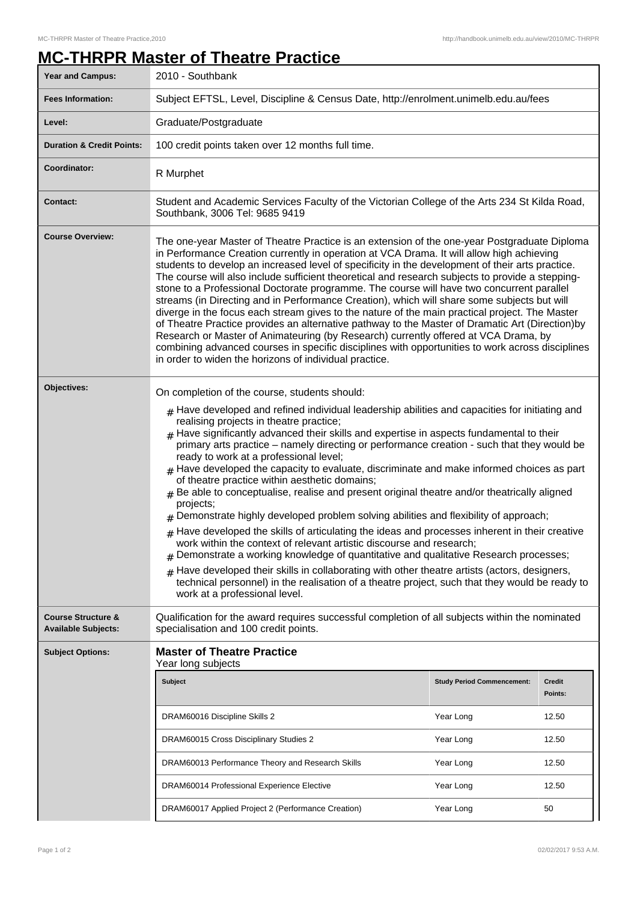## **MC-THRPR Master of Theatre Practice**

| <b>Year and Campus:</b>                                     | 2010 - Southbank                                                                                                                                                                                                                                                                                                                                                                                                                                                                                                                                                                                                                                                                                                                                                                                                                                                                                                                                                                                                                                                                                                                                                                                                                                                                                    |                                                |                                   |  |
|-------------------------------------------------------------|-----------------------------------------------------------------------------------------------------------------------------------------------------------------------------------------------------------------------------------------------------------------------------------------------------------------------------------------------------------------------------------------------------------------------------------------------------------------------------------------------------------------------------------------------------------------------------------------------------------------------------------------------------------------------------------------------------------------------------------------------------------------------------------------------------------------------------------------------------------------------------------------------------------------------------------------------------------------------------------------------------------------------------------------------------------------------------------------------------------------------------------------------------------------------------------------------------------------------------------------------------------------------------------------------------|------------------------------------------------|-----------------------------------|--|
| <b>Fees Information:</b>                                    | Subject EFTSL, Level, Discipline & Census Date, http://enrolment.unimelb.edu.au/fees                                                                                                                                                                                                                                                                                                                                                                                                                                                                                                                                                                                                                                                                                                                                                                                                                                                                                                                                                                                                                                                                                                                                                                                                                |                                                |                                   |  |
| Level:                                                      | Graduate/Postgraduate                                                                                                                                                                                                                                                                                                                                                                                                                                                                                                                                                                                                                                                                                                                                                                                                                                                                                                                                                                                                                                                                                                                                                                                                                                                                               |                                                |                                   |  |
| <b>Duration &amp; Credit Points:</b>                        | 100 credit points taken over 12 months full time.                                                                                                                                                                                                                                                                                                                                                                                                                                                                                                                                                                                                                                                                                                                                                                                                                                                                                                                                                                                                                                                                                                                                                                                                                                                   |                                                |                                   |  |
| <b>Coordinator:</b>                                         | R Murphet                                                                                                                                                                                                                                                                                                                                                                                                                                                                                                                                                                                                                                                                                                                                                                                                                                                                                                                                                                                                                                                                                                                                                                                                                                                                                           |                                                |                                   |  |
| <b>Contact:</b>                                             | Student and Academic Services Faculty of the Victorian College of the Arts 234 St Kilda Road,<br>Southbank, 3006 Tel: 9685 9419                                                                                                                                                                                                                                                                                                                                                                                                                                                                                                                                                                                                                                                                                                                                                                                                                                                                                                                                                                                                                                                                                                                                                                     |                                                |                                   |  |
| <b>Course Overview:</b>                                     | The one-year Master of Theatre Practice is an extension of the one-year Postgraduate Diploma<br>in Performance Creation currently in operation at VCA Drama. It will allow high achieving<br>students to develop an increased level of specificity in the development of their arts practice.<br>The course will also include sufficient theoretical and research subjects to provide a stepping-<br>stone to a Professional Doctorate programme. The course will have two concurrent parallel<br>streams (in Directing and in Performance Creation), which will share some subjects but will<br>diverge in the focus each stream gives to the nature of the main practical project. The Master<br>of Theatre Practice provides an alternative pathway to the Master of Dramatic Art (Direction)by<br>Research or Master of Animateuring (by Research) currently offered at VCA Drama, by<br>combining advanced courses in specific disciplines with opportunities to work across disciplines<br>in order to widen the horizons of individual practice.                                                                                                                                                                                                                                             |                                                |                                   |  |
| Objectives:                                                 | On completion of the course, students should:<br>$#$ Have developed and refined individual leadership abilities and capacities for initiating and<br>realising projects in theatre practice;<br>$#$ Have significantly advanced their skills and expertise in aspects fundamental to their<br>primary arts practice - namely directing or performance creation - such that they would be<br>ready to work at a professional level;<br>$#$ Have developed the capacity to evaluate, discriminate and make informed choices as part<br>of theatre practice within aesthetic domains;<br>$#$ Be able to conceptualise, realise and present original theatre and/or theatrically aligned<br>projects;<br>Demonstrate highly developed problem solving abilities and flexibility of approach;<br>Have developed the skills of articulating the ideas and processes inherent in their creative<br>#<br>work within the context of relevant artistic discourse and research;<br>Demonstrate a working knowledge of quantitative and qualitative Research processes;<br>Have developed their skills in collaborating with other theatre artists (actors, designers,<br>#<br>technical personnel) in the realisation of a theatre project, such that they would be ready to<br>work at a professional level. |                                                |                                   |  |
| <b>Course Structure &amp;</b><br><b>Available Subjects:</b> | Qualification for the award requires successful completion of all subjects within the nominated<br>specialisation and 100 credit points.                                                                                                                                                                                                                                                                                                                                                                                                                                                                                                                                                                                                                                                                                                                                                                                                                                                                                                                                                                                                                                                                                                                                                            |                                                |                                   |  |
| <b>Subject Options:</b>                                     | <b>Master of Theatre Practice</b><br>Year long subjects<br><b>Subject</b><br>DRAM60016 Discipline Skills 2                                                                                                                                                                                                                                                                                                                                                                                                                                                                                                                                                                                                                                                                                                                                                                                                                                                                                                                                                                                                                                                                                                                                                                                          | <b>Study Period Commencement:</b><br>Year Long | <b>Credit</b><br>Points:<br>12.50 |  |
|                                                             | DRAM60015 Cross Disciplinary Studies 2                                                                                                                                                                                                                                                                                                                                                                                                                                                                                                                                                                                                                                                                                                                                                                                                                                                                                                                                                                                                                                                                                                                                                                                                                                                              | Year Long                                      | 12.50                             |  |
|                                                             | DRAM60013 Performance Theory and Research Skills                                                                                                                                                                                                                                                                                                                                                                                                                                                                                                                                                                                                                                                                                                                                                                                                                                                                                                                                                                                                                                                                                                                                                                                                                                                    | Year Long                                      | 12.50                             |  |
|                                                             | DRAM60014 Professional Experience Elective                                                                                                                                                                                                                                                                                                                                                                                                                                                                                                                                                                                                                                                                                                                                                                                                                                                                                                                                                                                                                                                                                                                                                                                                                                                          | Year Long                                      | 12.50                             |  |
|                                                             | DRAM60017 Applied Project 2 (Performance Creation)                                                                                                                                                                                                                                                                                                                                                                                                                                                                                                                                                                                                                                                                                                                                                                                                                                                                                                                                                                                                                                                                                                                                                                                                                                                  | Year Long                                      | 50                                |  |